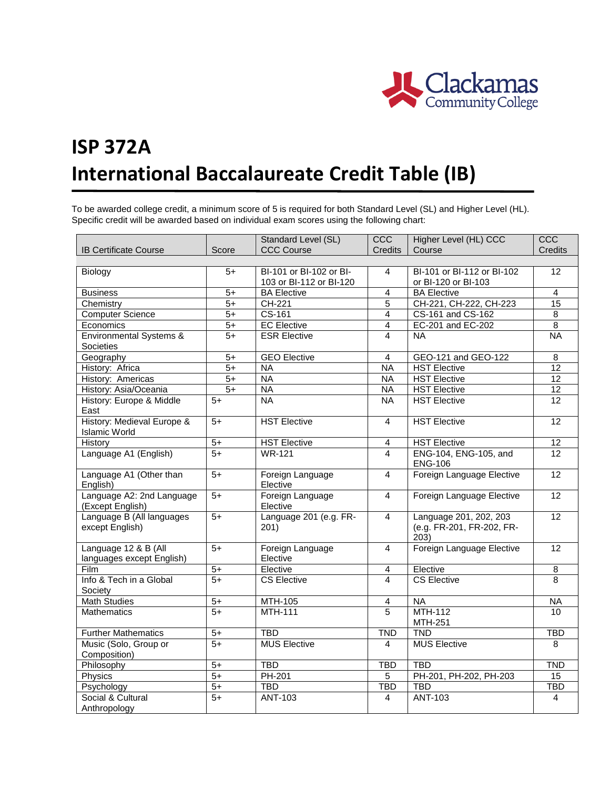

## **ISP 372A International Baccalaureate Credit Table (IB)**

To be awarded college credit, a minimum score of 5 is required for both Standard Level (SL) and Higher Level (HL). Specific credit will be awarded based on individual exam scores using the following chart:

| <b>CCC Course</b><br><b>IB Certificate Course</b><br>Score<br><b>Credits</b><br>Course<br>Credits                                     |  |  |  |  |  |  |  |
|---------------------------------------------------------------------------------------------------------------------------------------|--|--|--|--|--|--|--|
|                                                                                                                                       |  |  |  |  |  |  |  |
|                                                                                                                                       |  |  |  |  |  |  |  |
| BI-101 or BI-102 or BI-<br>BI-101 or BI-112 or BI-102<br>12<br>Biology<br>$5+$<br>4                                                   |  |  |  |  |  |  |  |
| 103 or BI-112 or BI-120<br>or BI-120 or BI-103                                                                                        |  |  |  |  |  |  |  |
| $\overline{5+}$<br><b>BA Elective</b><br><b>BA Elective</b><br>$\overline{4}$<br><b>Business</b><br>4                                 |  |  |  |  |  |  |  |
| $CH-221$<br>CH-221, CH-222, CH-223<br>$\overline{15}$<br>Chemistry<br>$5+$<br>5                                                       |  |  |  |  |  |  |  |
| $CS-161$<br>CS-161 and CS-162<br><b>Computer Science</b><br>$\overline{5+}$<br>4<br>$\overline{8}$                                    |  |  |  |  |  |  |  |
| <b>EC Elective</b><br>EC-201 and EC-202<br>$\overline{8}$<br>Economics<br>$5+$<br>4                                                   |  |  |  |  |  |  |  |
| <b>ESR Elective</b><br>Environmental Systems &<br>$\overline{5+}$<br>$\overline{NA}$<br>4<br><b>NA</b>                                |  |  |  |  |  |  |  |
| Societies                                                                                                                             |  |  |  |  |  |  |  |
| Geography<br><b>GEO Elective</b><br>GEO-121 and GEO-122<br>$\overline{\mathbf{8}}$<br>$5+$<br>4                                       |  |  |  |  |  |  |  |
| History: Africa<br><b>HST Elective</b><br>$\overline{12}$<br>$5+$<br><b>NA</b><br>NA                                                  |  |  |  |  |  |  |  |
| $5+$<br>N <sub>A</sub><br><b>HST Elective</b><br>$\overline{12}$<br>History: Americas<br><b>NA</b>                                    |  |  |  |  |  |  |  |
| History: Asia/Oceania<br><b>HST Elective</b><br>12<br>$5+$<br>$N_A$<br><b>NA</b>                                                      |  |  |  |  |  |  |  |
| History: Europe & Middle<br><b>HST Elective</b><br>$\overline{5+}$<br>$\overline{12}$<br><b>NA</b><br><b>NA</b>                       |  |  |  |  |  |  |  |
| East                                                                                                                                  |  |  |  |  |  |  |  |
| History: Medieval Europe &<br><b>HST Elective</b><br>$\overline{5+}$<br><b>HST Elective</b><br>$\overline{4}$<br>$\overline{12}$      |  |  |  |  |  |  |  |
| <b>Islamic World</b>                                                                                                                  |  |  |  |  |  |  |  |
| $5+$<br><b>HST Elective</b><br>12<br>History<br><b>HST Elective</b><br>4                                                              |  |  |  |  |  |  |  |
| Language A1 (English)<br>$5+$<br>ENG-104, ENG-105, and<br>12<br><b>WR-121</b><br>4                                                    |  |  |  |  |  |  |  |
| <b>ENG-106</b>                                                                                                                        |  |  |  |  |  |  |  |
| Foreign Language Elective<br>Language A1 (Other than<br>$5+$<br>12<br>Foreign Language<br>$\overline{4}$                              |  |  |  |  |  |  |  |
| English)<br>Elective                                                                                                                  |  |  |  |  |  |  |  |
| Language A2: 2nd Language<br>Foreign Language<br>$5+$<br>Foreign Language Elective<br>12<br>4                                         |  |  |  |  |  |  |  |
| (Except English)<br>Elective                                                                                                          |  |  |  |  |  |  |  |
| Language 201 (e.g. FR-<br>Language B (All languages<br>$\overline{5+}$<br>Language 201, 202, 203<br>$\overline{12}$<br>$\overline{4}$ |  |  |  |  |  |  |  |
| except English)<br>(e.g. FR-201, FR-202, FR-<br>201)                                                                                  |  |  |  |  |  |  |  |
| 203)                                                                                                                                  |  |  |  |  |  |  |  |
| Language 12 & B (All<br>$5+$<br>Foreign Language Elective<br>Foreign Language<br>12<br>4                                              |  |  |  |  |  |  |  |
| languages except English)<br>Elective                                                                                                 |  |  |  |  |  |  |  |
| <b>Film</b><br>Elective<br>$5+$<br>$\overline{4}$<br>Elective<br>8<br>Info & Tech in a Global<br><b>CS Elective</b><br>$5+$<br>4<br>8 |  |  |  |  |  |  |  |
| <b>CS Elective</b><br>Society                                                                                                         |  |  |  |  |  |  |  |
| <b>Math Studies</b><br>$\overline{5+}$<br><b>NA</b><br>$\overline{NA}$<br>MTH-105<br>4                                                |  |  |  |  |  |  |  |
| <b>MTH-112</b><br><b>MTH-111</b><br><b>Mathematics</b><br>$5+$<br>5<br>10                                                             |  |  |  |  |  |  |  |
| <b>MTH-251</b>                                                                                                                        |  |  |  |  |  |  |  |
| $\overline{5+}$<br><b>TBD</b><br><b>TND</b><br><b>TND</b><br><b>TBD</b><br><b>Further Mathematics</b>                                 |  |  |  |  |  |  |  |
| <b>MUS Elective</b><br>Music (Solo, Group or<br>$5+$<br><b>MUS Elective</b><br>4<br>8                                                 |  |  |  |  |  |  |  |
| Composition)                                                                                                                          |  |  |  |  |  |  |  |
| Philosophy<br>$5+$<br><b>TBD</b><br><b>TBD</b><br><b>TND</b><br>TBD                                                                   |  |  |  |  |  |  |  |
| <b>PH-201</b><br>PH-201, PH-202, PH-203<br>Physics<br>$5+$<br>5<br>15                                                                 |  |  |  |  |  |  |  |
| $5+$<br>Psychology<br><b>TBD</b><br><b>TBD</b><br><b>TBD</b><br><b>TBD</b>                                                            |  |  |  |  |  |  |  |
| <b>ANT-103</b><br>Social & Cultural<br>$5+$<br>ANT-103<br>4<br>4                                                                      |  |  |  |  |  |  |  |
| Anthropology                                                                                                                          |  |  |  |  |  |  |  |